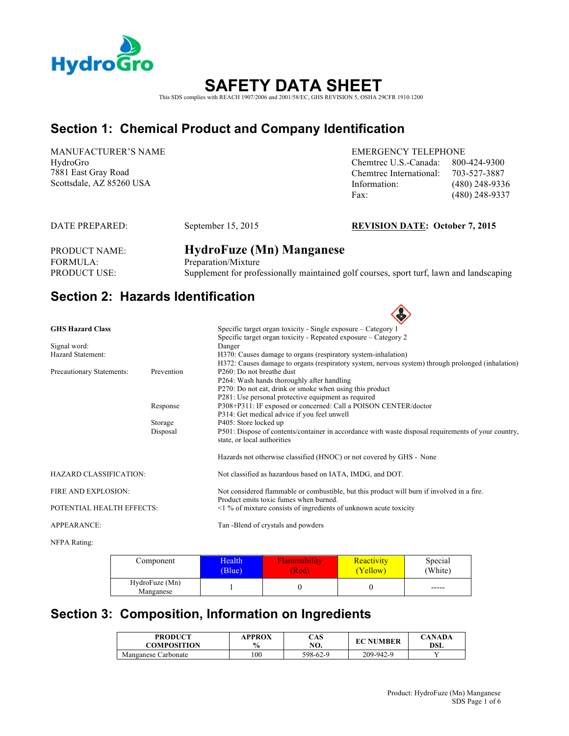

# **SAFETY DATA SHEET**

This SDS complies with REACH 1907/2006 and 2001/58/EC, GHS REVISION 5, OSHA 29CFR 1910.1200

# **Section 1: Chemical Product and Company Identification**

MANUFACTURER'S NAME HydroGro 7881 East Gray Road

EMERGENCY TELEPHONE Chemtrec U.S.-Canada: 800-424-9300 Chemtrec International: 703-527-3887 Scottsdale, AZ 85260 USA Information: (480) 248-9336 Fax: (480) 248-9337

#### DATE PREPARED: September 15, 2015 **REVISION DATE: October 7, 2015**

 $\triangle$ 

PRODUCT NAME: **HydroFuze (Mn) Manganese** FORMULA: Preparation/Mixture PRODUCT USE: Supplement for professionally maintained golf courses, sport turf, lawn and landscaping

### **Section 2: Hazards Identification**

|            | Specific target organ toxicity - Single exposure - Category 1                                       |
|------------|-----------------------------------------------------------------------------------------------------|
|            | Specific target organ toxicity - Repeated exposure – Category 2                                     |
|            | Danger                                                                                              |
|            | H370: Causes damage to organs (respiratory system-inhalation)                                       |
|            | H372: Causes damage to organs (respiratory system, nervous system) through prolonged (inhalation)   |
| Prevention | $P260$ : Do not breathe dust                                                                        |
|            | P264: Wash hands thoroughly after handling                                                          |
|            | P270: Do not eat, drink or smoke when using this product                                            |
|            | P281: Use personal protective equipment as required                                                 |
| Response   | P308+P311: IF exposed or concerned: Call a POISON CENTER/doctor                                     |
|            | P314: Get medical advice if you feel unwell                                                         |
| Storage    | P405: Store locked up                                                                               |
| Disposal   | P501: Dispose of contents/container in accordance with waste disposal requirements of your country, |
|            | state, or local authorities                                                                         |
|            | Hazards not otherwise classified (HNOC) or not covered by GHS - None                                |
|            | Not classified as hazardous based on IATA, IMDG, and DOT.                                           |
|            | Not considered flammable or combustible, but this product will burn if involved in a fire.          |
|            | Product emits toxic fumes when burned.                                                              |
|            | $\leq$ 1 % of mixture consists of ingredients of unknown acute toxicity                             |
|            | Tan -Blend of crystals and powders                                                                  |
|            |                                                                                                     |
|            | POTENTIAL HEALTH EFFECTS:                                                                           |

NFPA Rating:

| Component                   | Health | <b>lammability</b> | <b>Reactivity</b> | Special |
|-----------------------------|--------|--------------------|-------------------|---------|
|                             | (Blue) | (Red               | [Yellow]          | (White) |
| HydroFuze (Mn)<br>Manganese |        |                    |                   | $-----$ |

### **Section 3: Composition, Information on Ingredients**

| <b>PRODUCT</b>      | APPROX        | CAS      | <b>EC NUMBER</b> | <b>CANADA</b> |
|---------------------|---------------|----------|------------------|---------------|
| COMPOSITION         | $\frac{6}{6}$ | NO.      |                  | DSL           |
| Manganese Carbonate | 100           | 598-62-9 | 209-942-9        |               |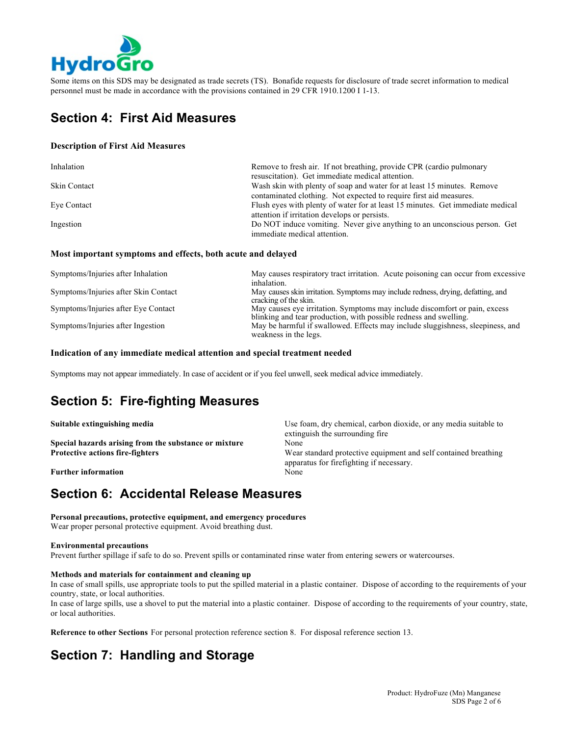

Some items on this SDS may be designated as trade secrets (TS). Bonafide requests for disclosure of trade secret information to medical personnel must be made in accordance with the provisions contained in 29 CFR 1910.1200 I 1-13.

# **Section 4: First Aid Measures**

#### **Description of First Aid Measures**

| Inhalation   | Remove to fresh air. If not breathing, provide CPR (cardio pulmonary           |  |
|--------------|--------------------------------------------------------------------------------|--|
|              | resuscitation). Get immediate medical attention.                               |  |
| Skin Contact | Wash skin with plenty of soap and water for at least 15 minutes. Remove        |  |
|              | contaminated clothing. Not expected to require first aid measures.             |  |
| Eye Contact  | Flush eyes with plenty of water for at least 15 minutes. Get immediate medical |  |
|              | attention if irritation develops or persists.                                  |  |
| Ingestion    | Do NOT induce vomiting. Never give anything to an unconscious person. Get      |  |
|              | immediate medical attention.                                                   |  |

#### **Most important symptoms and effects, both acute and delayed**

| Symptoms/Injuries after Inhalation   | May causes respiratory tract irritation. Acute poisoning can occur from excessive<br>inhalation.                                                |
|--------------------------------------|-------------------------------------------------------------------------------------------------------------------------------------------------|
| Symptoms/Injuries after Skin Contact | May causes skin irritation. Symptoms may include redness, drying, defatting, and<br>cracking of the skin.                                       |
| Symptoms/Injuries after Eye Contact  | May causes eye irritation. Symptoms may include discomfort or pain, excess<br>blinking and tear production, with possible redness and swelling. |
| Symptoms/Injuries after Ingestion    | May be harmful if swallowed. Effects may include sluggishness, sleepiness, and<br>weakness in the legs.                                         |

#### **Indication of any immediate medical attention and special treatment needed**

Symptoms may not appear immediately. In case of accident or if you feel unwell, seek medical advice immediately.

# **Section 5: Fire-fighting Measures**

**Special hazards arising from the substance or mixture** None

**Further information** None

**Suitable extinguishing media ISC** 1989 **Use foam, dry chemical, carbon dioxide, or any media suitable to Use foam, dry chemical, carbon dioxide, or any media suitable to** extinguish the surrounding fire **Protective actions fire-fighters** Wear standard protective equipment and self contained breathing apparatus for firefighting if necessary.

# **Section 6: Accidental Release Measures**

**Personal precautions, protective equipment, and emergency procedures** Wear proper personal protective equipment. Avoid breathing dust.

#### **Environmental precautions**

Prevent further spillage if safe to do so. Prevent spills or contaminated rinse water from entering sewers or watercourses.

#### **Methods and materials for containment and cleaning up**

In case of small spills, use appropriate tools to put the spilled material in a plastic container. Dispose of according to the requirements of your country, state, or local authorities.

In case of large spills, use a shovel to put the material into a plastic container. Dispose of according to the requirements of your country, state, or local authorities.

**Reference to other Sections** For personal protection reference section 8. For disposal reference section 13.

# **Section 7: Handling and Storage**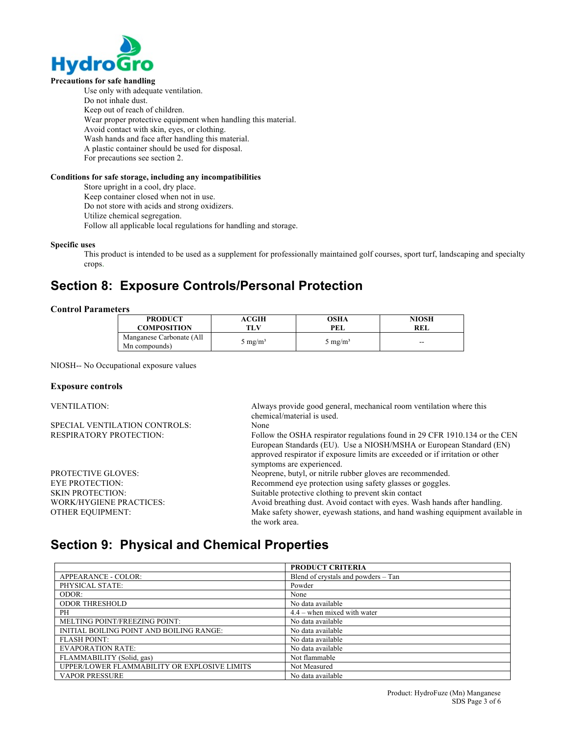

#### **Precautions for safe handling**

Use only with adequate ventilation. Do not inhale dust. Keep out of reach of children. Wear proper protective equipment when handling this material. Avoid contact with skin, eyes, or clothing. Wash hands and face after handling this material. A plastic container should be used for disposal. For precautions see section 2.

#### **Conditions for safe storage, including any incompatibilities**

Store upright in a cool, dry place.

Keep container closed when not in use.

Do not store with acids and strong oxidizers.

Utilize chemical segregation.

Follow all applicable local regulations for handling and storage.

#### **Specific uses**

This product is intended to be used as a supplement for professionally maintained golf courses, sport turf, landscaping and specialty crops.

### **Section 8: Exposure Controls/Personal Protection**

#### **Control Parameters**

| <b>PRODUCT</b>                            | <b>ACGIH</b>               | OSHA               | NIOSH |
|-------------------------------------------|----------------------------|--------------------|-------|
| <b>COMPOSITION</b>                        | TLV                        | PEL                | REL   |
| Manganese Carbonate (All<br>Mn compounds) | $\rm{J}$ mg/m <sup>3</sup> | $5 \text{ mg/m}^3$ | $-$   |

NIOSH-- No Occupational exposure values

#### **Exposure controls**

| <b>VENTILATION:</b>            | Always provide good general, mechanical room ventilation where this<br>chemical/material is used. |
|--------------------------------|---------------------------------------------------------------------------------------------------|
| SPECIAL VENTILATION CONTROLS:  | None                                                                                              |
| <b>RESPIRATORY PROTECTION:</b> | Follow the OSHA respirator regulations found in 29 CFR 1910.134 or the CEN                        |
|                                | European Standards (EU). Use a NIOSH/MSHA or European Standard (EN)                               |
|                                | approved respirator if exposure limits are exceeded or if irritation or other                     |
|                                | symptoms are experienced.                                                                         |
| <b>PROTECTIVE GLOVES:</b>      | Neoprene, butyl, or nitrile rubber gloves are recommended.                                        |
| <b>EYE PROTECTION:</b>         | Recommend eye protection using safety glasses or goggles.                                         |
| <b>SKIN PROTECTION:</b>        | Suitable protective clothing to prevent skin contact                                              |
| <b>WORK/HYGIENE PRACTICES:</b> | Avoid breathing dust. Avoid contact with eyes. Wash hands after handling.                         |
| <b>OTHER EQUIPMENT:</b>        | Make safety shower, evewash stations, and hand washing equipment available in                     |
|                                | the work area.                                                                                    |

### **Section 9: Physical and Chemical Properties**

|                                              | <b>PRODUCT CRITERIA</b>             |
|----------------------------------------------|-------------------------------------|
| APPEARANCE - COLOR:                          | Blend of crystals and powders – Tan |
| PHYSICAL STATE:                              | Powder                              |
| ODOR:                                        | None                                |
| <b>ODOR THRESHOLD</b>                        | No data available                   |
| PH                                           | $4.4$ – when mixed with water       |
| MELTING POINT/FREEZING POINT:                | No data available                   |
| INITIAL BOILING POINT AND BOILING RANGE:     | No data available                   |
| <b>FLASH POINT:</b>                          | No data available                   |
| <b>EVAPORATION RATE:</b>                     | No data available                   |
| FLAMMABILITY (Solid, gas)                    | Not flammable                       |
| UPPER/LOWER FLAMMABILITY OR EXPLOSIVE LIMITS | Not Measured                        |
| <b>VAPOR PRESSURE</b>                        | No data available                   |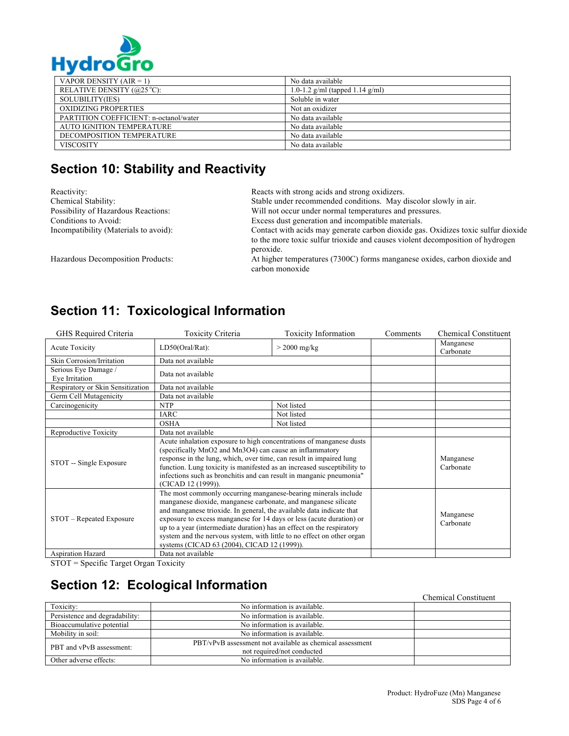

| . . ,                                  |                                      |  |
|----------------------------------------|--------------------------------------|--|
| VAPOR DENSITY $(AIR = 1)$              | No data available                    |  |
| RELATIVE DENSITY $(@25 °C)$ :          | 1.0-1.2 $g/ml$ (tapped 1.14 $g/ml$ ) |  |
| SOLUBILITY(IES)                        | Soluble in water                     |  |
| OXIDIZING PROPERTIES                   | Not an oxidizer                      |  |
| PARTITION COEFFICIENT: n-octanol/water | No data available                    |  |
| <b>AUTO IGNITION TEMPERATURE</b>       | No data available                    |  |
| DECOMPOSITION TEMPERATURE              | No data available                    |  |
| <b>VISCOSITY</b>                       | No data available                    |  |

# **Section 10: Stability and Reactivity**

| Reactivity:                           | Reacts with strong acids and strong oxidizers.                                                                                                                      |  |
|---------------------------------------|---------------------------------------------------------------------------------------------------------------------------------------------------------------------|--|
| Chemical Stability:                   | Stable under recommended conditions. May discolor slowly in air.                                                                                                    |  |
| Possibility of Hazardous Reactions:   | Will not occur under normal temperatures and pressures.                                                                                                             |  |
| Conditions to Avoid:                  | Excess dust generation and incompatible materials.                                                                                                                  |  |
| Incompatibility (Materials to avoid): | Contact with acids may generate carbon dioxide gas. Oxidizes toxic sulfur dioxide<br>to the more toxic sulfur trioxide and causes violent decomposition of hydrogen |  |
|                                       | peroxide.                                                                                                                                                           |  |
| Hazardous Decomposition Products:     | At higher temperatures (7300C) forms manganese oxides, carbon dioxide and<br>carbon monoxide                                                                        |  |

# **Section 11: Toxicological Information**

| GHS Required Criteria                  | <b>Toxicity Criteria</b>                                                                                                                                                                                                                                                                                                                                                                                                                                                           | <b>Toxicity Information</b> | Comments | <b>Chemical Constituent</b> |
|----------------------------------------|------------------------------------------------------------------------------------------------------------------------------------------------------------------------------------------------------------------------------------------------------------------------------------------------------------------------------------------------------------------------------------------------------------------------------------------------------------------------------------|-----------------------------|----------|-----------------------------|
| Acute Toxicity                         | LD50(Oral/Rat):                                                                                                                                                                                                                                                                                                                                                                                                                                                                    | $>$ 2000 mg/kg              |          | Manganese<br>Carbonate      |
| Skin Corrosion/Irritation              | Data not available                                                                                                                                                                                                                                                                                                                                                                                                                                                                 |                             |          |                             |
| Serious Eye Damage /<br>Eye Irritation | Data not available                                                                                                                                                                                                                                                                                                                                                                                                                                                                 |                             |          |                             |
| Respiratory or Skin Sensitization      | Data not available                                                                                                                                                                                                                                                                                                                                                                                                                                                                 |                             |          |                             |
| Germ Cell Mutagenicity                 | Data not available                                                                                                                                                                                                                                                                                                                                                                                                                                                                 |                             |          |                             |
| Carcinogenicity                        | <b>NTP</b>                                                                                                                                                                                                                                                                                                                                                                                                                                                                         | Not listed                  |          |                             |
|                                        | <b>IARC</b>                                                                                                                                                                                                                                                                                                                                                                                                                                                                        | Not listed                  |          |                             |
|                                        | <b>OSHA</b>                                                                                                                                                                                                                                                                                                                                                                                                                                                                        | Not listed                  |          |                             |
| Reproductive Toxicity                  | Data not available                                                                                                                                                                                                                                                                                                                                                                                                                                                                 |                             |          |                             |
| STOT -- Single Exposure                | Acute inhalation exposure to high concentrations of manganese dusts<br>(specifically MnO2 and Mn3O4) can cause an inflammatory<br>response in the lung, which, over time, can result in impaired lung<br>function. Lung toxicity is manifested as an increased susceptibility to<br>infections such as bronchitis and can result in manganic pneumonia"<br>(CICAD 12 (1999)).                                                                                                      |                             |          | Manganese<br>Carbonate      |
| STOT – Repeated Exposure               | The most commonly occurring manganese-bearing minerals include<br>manganese dioxide, manganese carbonate, and manganese silicate<br>and manganese trioxide. In general, the available data indicate that<br>exposure to excess manganese for 14 days or less (acute duration) or<br>up to a year (intermediate duration) has an effect on the respiratory<br>system and the nervous system, with little to no effect on other organ<br>systems (CICAD 63 (2004), CICAD 12 (1999)). |                             |          | Manganese<br>Carbonate      |
| Aspiration Hazard                      | Data not available                                                                                                                                                                                                                                                                                                                                                                                                                                                                 |                             |          |                             |

STOT = Specific Target Organ Toxicity

# **Section 12: Ecological Information**

|                                |                                                                                        | <b>Chemical Constituent</b> |
|--------------------------------|----------------------------------------------------------------------------------------|-----------------------------|
| Toxicity:                      | No information is available.                                                           |                             |
| Persistence and degradability: | No information is available.                                                           |                             |
| Bioaccumulative potential      | No information is available.                                                           |                             |
| Mobility in soil:              | No information is available.                                                           |                             |
| PBT and vPvB assessment:       | PBT/vPvB assessment not available as chemical assessment<br>not required/not conducted |                             |
| Other adverse effects:         | No information is available.                                                           |                             |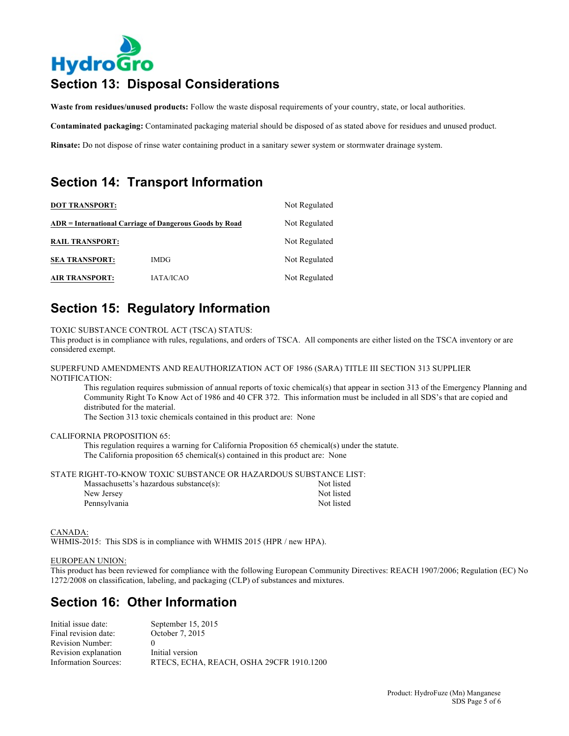# **HydroGro Section 13: Disposal Considerations**

**Waste from residues/unused products:** Follow the waste disposal requirements of your country, state, or local authorities.

**Contaminated packaging:** Contaminated packaging material should be disposed of as stated above for residues and unused product.

**Rinsate:** Do not dispose of rinse water containing product in a sanitary sewer system or stormwater drainage system.

# **Section 14: Transport Information**

| <b>DOT TRANSPORT:</b><br>ADR = International Carriage of Dangerous Goods by Road |                  | Not Regulated<br>Not Regulated |
|----------------------------------------------------------------------------------|------------------|--------------------------------|
|                                                                                  |                  |                                |
| <b>SEA TRANSPORT:</b>                                                            | <b>IMDG</b>      | Not Regulated                  |
| <b>AIR TRANSPORT:</b>                                                            | <b>IATA/ICAO</b> | Not Regulated                  |

# **Section 15: Regulatory Information**

TOXIC SUBSTANCE CONTROL ACT (TSCA) STATUS:

This product is in compliance with rules, regulations, and orders of TSCA. All components are either listed on the TSCA inventory or are considered exempt.

SUPERFUND AMENDMENTS AND REAUTHORIZATION ACT OF 1986 (SARA) TITLE III SECTION 313 SUPPLIER NOTIFICATION:

This regulation requires submission of annual reports of toxic chemical(s) that appear in section 313 of the Emergency Planning and Community Right To Know Act of 1986 and 40 CFR 372. This information must be included in all SDS's that are copied and distributed for the material.

The Section 313 toxic chemicals contained in this product are: None

#### CALIFORNIA PROPOSITION 65:

This regulation requires a warning for California Proposition 65 chemical(s) under the statute. The California proposition 65 chemical(s) contained in this product are: None

STATE RIGHT-TO-KNOW TOXIC SUBSTANCE OR HAZARDOUS SUBSTANCE LIST:

| Massachusetts's hazardous substance(s): | Not listed |
|-----------------------------------------|------------|
| New Jersey                              | Not listed |
| Pennsylvania                            | Not listed |

CANADA:

WHMIS-2015: This SDS is in compliance with WHMIS 2015 (HPR / new HPA).

#### EUROPEAN UNION:

This product has been reviewed for compliance with the following European Community Directives: REACH 1907/2006; Regulation (EC) No 1272/2008 on classification, labeling, and packaging (CLP) of substances and mixtures.

# **Section 16: Other Information**

| Initial issue date:         | September 15, 2015                       |
|-----------------------------|------------------------------------------|
| Final revision date:        | October 7, 2015                          |
| Revision Number:            |                                          |
| Revision explanation        | Initial version                          |
| <b>Information Sources:</b> | RTECS, ECHA, REACH, OSHA 29CFR 1910.1200 |